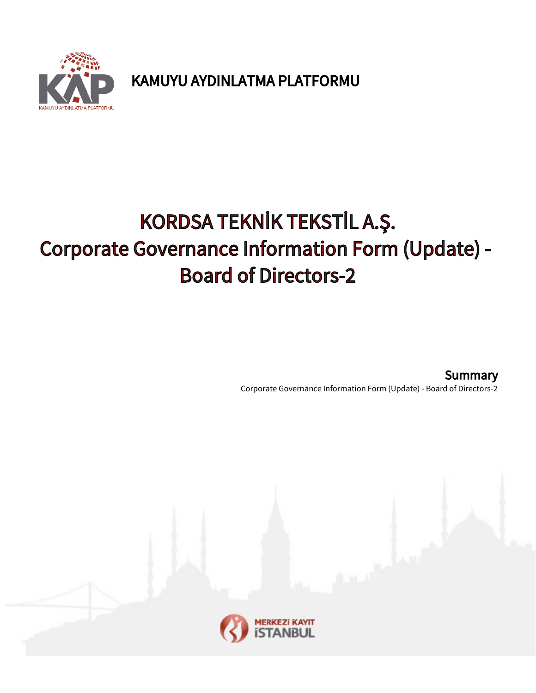

KAMUYU AYDINLATMA PLATFORMU

# KORDSA TEKNİK TEKSTİL A.Ş. Corporate Governance Information Form (Update) - Board of Directors-2

Corporate Governance Information Form (Update) - Board of Directors-2 **Summary** 

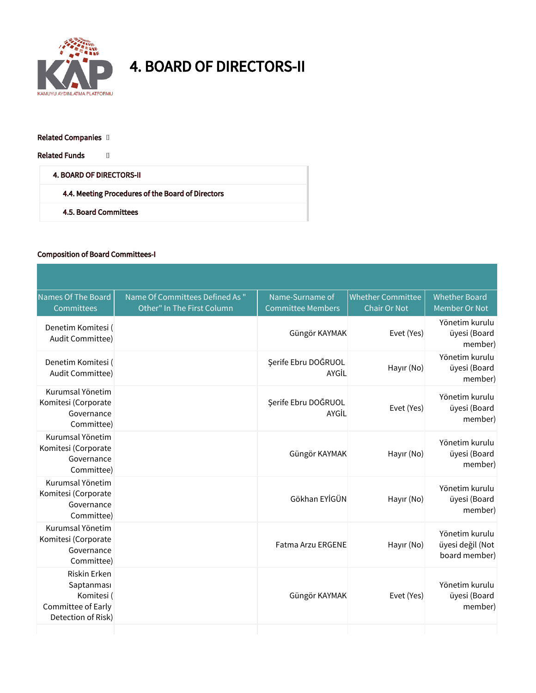

## 4. BOARD OF DIRECTORS-II

#### Related Companies []

Related Funds []

### 4. BOARD OF DIRECTORS-II

4.4. Meeting Procedures of the Board of Directors

4.5. Board Committees

#### Composition of Board Committees-I

| Names Of The Board<br>Committees                                                            | Name Of Committees Defined As "<br>Other" In The First Column | Name-Surname of<br><b>Committee Members</b> | <b>Whether Committee</b><br><b>Chair Or Not</b> | <b>Whether Board</b><br>Member Or Not               |
|---------------------------------------------------------------------------------------------|---------------------------------------------------------------|---------------------------------------------|-------------------------------------------------|-----------------------------------------------------|
| Denetim Komitesi (<br>Audit Committee)                                                      |                                                               | Güngör KAYMAK                               | Evet (Yes)                                      | Yönetim kurulu<br>üyesi (Board<br>member)           |
| Denetim Komitesi (<br>Audit Committee)                                                      |                                                               | Şerife Ebru DOĞRUOL<br>AYGİL                | Hayır (No)                                      | Yönetim kurulu<br>üyesi (Board<br>member)           |
| Kurumsal Yönetim<br>Komitesi (Corporate<br>Governance<br>Committee)                         |                                                               | Şerife Ebru DOĞRUOL<br>AYGİL                | Evet (Yes)                                      | Yönetim kurulu<br>üyesi (Board<br>member)           |
| Kurumsal Yönetim<br>Komitesi (Corporate<br>Governance<br>Committee)                         |                                                               | Güngör KAYMAK                               | Hayır (No)                                      | Yönetim kurulu<br>üyesi (Board<br>member)           |
| Kurumsal Yönetim<br>Komitesi (Corporate<br>Governance<br>Committee)                         |                                                               | Gökhan EYİGÜN                               | Hayır (No)                                      | Yönetim kurulu<br>üyesi (Board<br>member)           |
| Kurumsal Yönetim<br>Komitesi (Corporate<br>Governance<br>Committee)                         |                                                               | <b>Fatma Arzu ERGENE</b>                    | Hayır (No)                                      | Yönetim kurulu<br>üyesi değil (Not<br>board member) |
| <b>Riskin Erken</b><br>Saptanması<br>Komitesi (<br>Committee of Early<br>Detection of Risk) |                                                               | Güngör KAYMAK                               | Evet (Yes)                                      | Yönetim kurulu<br>üyesi (Board<br>member)           |
|                                                                                             |                                                               |                                             |                                                 |                                                     |